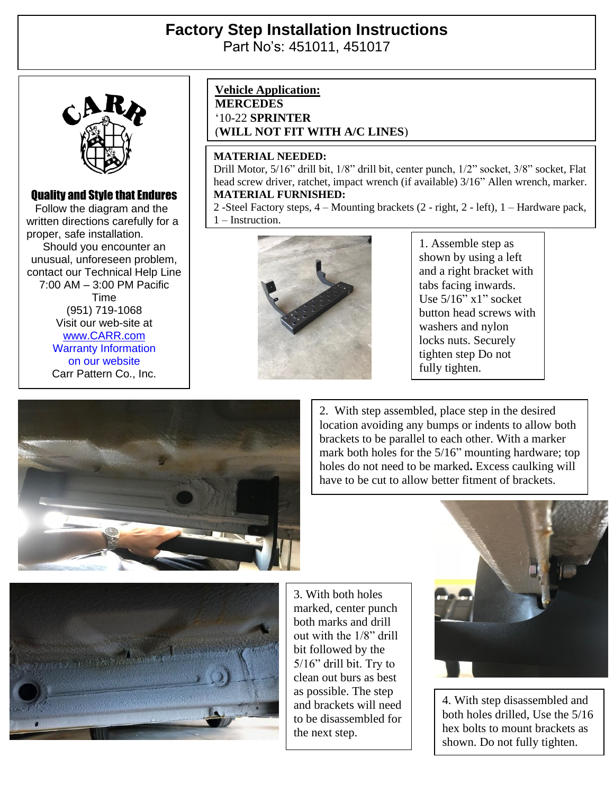# **Factory Step Installation Instructions**  Part No's: 451011, 451017



## Quality and Style that Endures

 Follow the diagram and the written directions carefully for a proper, safe installation. Should you encounter an unusual, unforeseen problem, contact our Technical Help Line 7:00 AM – 3:00 PM Pacific Time (951) 719-1068 Visit our web-site at [www.CARR.com](http://www.carr.com/) Warranty Information on our website Carr Pattern Co., Inc.

### **Vehicle Application:**

**MERCEDES** '10-22 **SPRINTER** (**WILL NOT FIT WITH A/C LINES**)

#### **MATERIAL NEEDED:**

Drill Motor, 5/16" drill bit, 1/8" drill bit, center punch, 1/2" socket, 3/8" socket, Flat head screw driver, ratchet, impact wrench (if available) 3/16" Allen wrench, marker. **MATERIAL FURNISHED:**

2 -Steel Factory steps, 4 – Mounting brackets (2 - right, 2 - left), 1 – Hardware pack, 1 – Instruction.



1. Assemble step as shown by using a left and a right bracket with tabs facing inwards. Use 5/16" x1" socket button head screws with washers and nylon locks nuts. Securely tighten step Do not fully tighten.



2. With step assembled, place step in the desired location avoiding any bumps or indents to allow both brackets to be parallel to each other. With a marker mark both holes for the 5/16" mounting hardware; top holes do not need to be marked**.** Excess caulking will have to be cut to allow better fitment of brackets.



3. With both holes marked, center punch both marks and drill out with the 1/8" drill bit followed by the 5/16" drill bit. Try to clean out burs as best as possible. The step and brackets will need to be disassembled for the next step.



4. With step disassembled and both holes drilled, Use the 5/16 hex bolts to mount brackets as shown. Do not fully tighten.